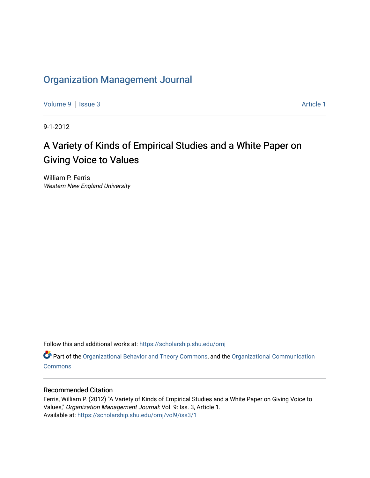## [Organization Management Journal](https://scholarship.shu.edu/omj)

[Volume 9](https://scholarship.shu.edu/omj/vol9) | [Issue 3](https://scholarship.shu.edu/omj/vol9/iss3) Article 1

9-1-2012

# A Variety of Kinds of Empirical Studies and a White Paper on Giving Voice to Values

William P. Ferris Western New England University

Follow this and additional works at: [https://scholarship.shu.edu/omj](https://scholarship.shu.edu/omj?utm_source=scholarship.shu.edu%2Fomj%2Fvol9%2Fiss3%2F1&utm_medium=PDF&utm_campaign=PDFCoverPages) 

Part of the [Organizational Behavior and Theory Commons,](http://network.bepress.com/hgg/discipline/639?utm_source=scholarship.shu.edu%2Fomj%2Fvol9%2Fiss3%2F1&utm_medium=PDF&utm_campaign=PDFCoverPages) and the [Organizational Communication](http://network.bepress.com/hgg/discipline/335?utm_source=scholarship.shu.edu%2Fomj%2Fvol9%2Fiss3%2F1&utm_medium=PDF&utm_campaign=PDFCoverPages) **[Commons](http://network.bepress.com/hgg/discipline/335?utm_source=scholarship.shu.edu%2Fomj%2Fvol9%2Fiss3%2F1&utm_medium=PDF&utm_campaign=PDFCoverPages)** 

#### Recommended Citation

Ferris, William P. (2012) "A Variety of Kinds of Empirical Studies and a White Paper on Giving Voice to Values," Organization Management Journal: Vol. 9: Iss. 3, Article 1. Available at: [https://scholarship.shu.edu/omj/vol9/iss3/1](https://scholarship.shu.edu/omj/vol9/iss3/1?utm_source=scholarship.shu.edu%2Fomj%2Fvol9%2Fiss3%2F1&utm_medium=PDF&utm_campaign=PDFCoverPages)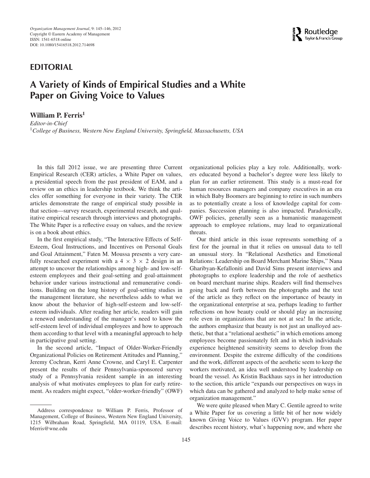### **EDITORIAL**

### **A Variety of Kinds of Empirical Studies and a White Paper on Giving Voice to Values**

#### **William P. Ferris<sup>1</sup>**

*Editor-in-Chief* <sup>1</sup>*College of Business, Western New England University, Springfield, Massachusetts, USA*

In this fall 2012 issue, we are presenting three Current Empirical Research (CER) articles, a White Paper on values, a presidential speech from the past president of EAM, and a review on an ethics in leadership textbook. We think the articles offer something for everyone in their variety. The CER articles demonstrate the range of empirical study possible in that section—survey research, experimental research, and qualitative empirical research through interviews and photographs. The White Paper is a reflective essay on values, and the review is on a book about ethics.

In the first empirical study, "The Interactive Effects of Self-Esteem, Goal Instructions, and Incentives on Personal Goals and Goal Attainment," Faten M. Moussa presents a very carefully researched experiment with a  $4 \times 3 \times 2$  design in an attempt to uncover the relationships among high- and low-selfesteem employees and their goal-setting and goal-attainment behavior under various instructional and remunerative conditions. Building on the long history of goal-setting studies in the management literature, she nevertheless adds to what we know about the behavior of high-self-esteem and low-selfesteem individuals. After reading her article, readers will gain a renewed understanding of the manager's need to know the self-esteem level of individual employees and how to approach them according to that level with a meaningful approach to help in participative goal setting.

In the second article, "Impact of Older-Worker-Friendly Organizational Policies on Retirement Attitudes and Planning," Jeremy Cochran, Kerri Anne Crowne, and Caryl E. Carpenter present the results of their Pennsylvania-sponsored survey study of a Pennsylvania resident sample in an interesting analysis of what motivates employees to plan for early retirement. As readers might expect, "older-worker-friendly" (OWF) organizational policies play a key role. Additionally, workers educated beyond a bachelor's degree were less likely to plan for an earlier retirement. This study is a must-read for human resources managers and company executives in an era in which Baby Boomers are beginning to retire in such numbers as to potentially create a loss of knowledge capital for companies. Succession planning is also impacted. Paradoxically, OWF policies, generally seen as a humanistic management approach to employee relations, may lead to organizational threats.

Our third article in this issue represents something of a first for the journal in that it relies on unusual data to tell an unusual story. In "Relational Aesthetics and Emotional Relations: Leadership on Board Merchant Marine Ships," Nana Gharibyan-Kefalloniti and David Sims present interviews and photographs to explore leadership and the role of aesthetics on board merchant marine ships. Readers will find themselves going back and forth between the photographs and the text of the article as they reflect on the importance of beauty in the organizational enterprise at sea, perhaps leading to further reflections on how beauty could or should play an increasing role even in organizations that are not at sea! In the article, the authors emphasize that beauty is not just an unalloyed aesthetic, but that a "relational aesthetic" in which emotions among employees become passionately felt and in which individuals experience heightened sensitivity seems to develop from the environment. Despite the extreme difficulty of the conditions and the work, different aspects of the aesthetic seem to keep the workers motivated, an idea well understood by leadership on board the vessel. As Kristin Backhaus says in her introduction to the section, this article "expands our perspectives on ways in which data can be gathered and analyzed to help make sense of organization management."

We were quite pleased when Mary C. Gentile agreed to write a White Paper for us covering a little bit of her now widely known Giving Voice to Values (GVV) program. Her paper describes recent history, what's happening now, and where she



Address correspondence to William P. Ferris, Professor of Management, College of Business, Western New England University, 1215 Wilbraham Road, Springfield, MA 01119, USA. E-mail: bferris@wne.edu